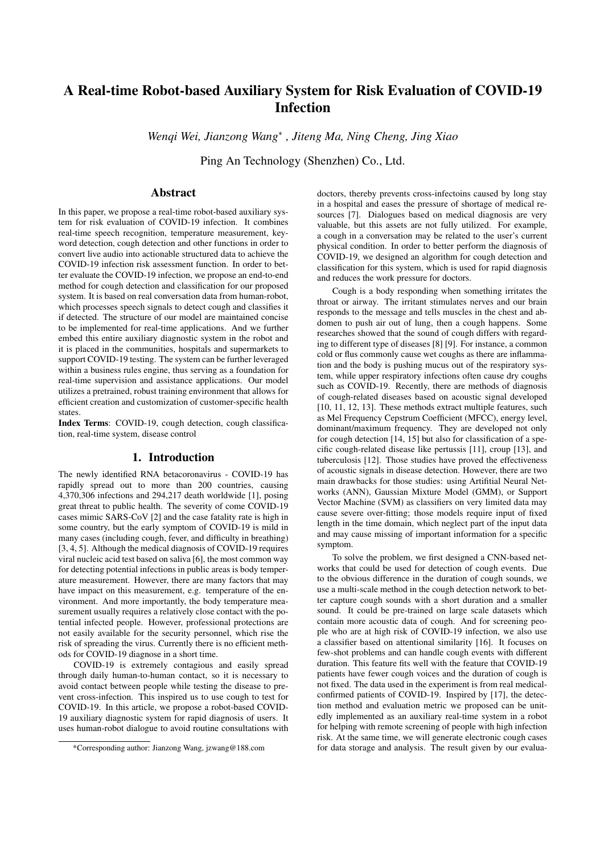# A Real-time Robot-based Auxiliary System for Risk Evaluation of COVID-19 Infection

*Wenqi Wei, Jianzong Wang*<sup>∗</sup> *, Jiteng Ma, Ning Cheng, Jing Xiao*

Ping An Technology (Shenzhen) Co., Ltd.

# Abstract

In this paper, we propose a real-time robot-based auxiliary system for risk evaluation of COVID-19 infection. It combines real-time speech recognition, temperature measurement, keyword detection, cough detection and other functions in order to convert live audio into actionable structured data to achieve the COVID-19 infection risk assessment function. In order to better evaluate the COVID-19 infection, we propose an end-to-end method for cough detection and classification for our proposed system. It is based on real conversation data from human-robot, which processes speech signals to detect cough and classifies it if detected. The structure of our model are maintained concise to be implemented for real-time applications. And we further embed this entire auxiliary diagnostic system in the robot and it is placed in the communities, hospitals and supermarkets to support COVID-19 testing. The system can be further leveraged within a business rules engine, thus serving as a foundation for real-time supervision and assistance applications. Our model utilizes a pretrained, robust training environment that allows for efficient creation and customization of customer-specific health **states**.

Index Terms: COVID-19, cough detection, cough classification, real-time system, disease control

#### 1. Introduction

The newly identified RNA betacoronavirus - COVID-19 has rapidly spread out to more than 200 countries, causing 4,370,306 infections and 294,217 death worldwide [1], posing great threat to public health. The severity of come COVID-19 cases mimic SARS-CoV [2] and the case fatality rate is high in some country, but the early symptom of COVID-19 is mild in many cases (including cough, fever, and difficulty in breathing) [3, 4, 5]. Although the medical diagnosis of COVID-19 requires viral nucleic acid test based on saliva [6], the most common way for detecting potential infections in public areas is body temperature measurement. However, there are many factors that may have impact on this measurement, e.g. temperature of the environment. And more importantly, the body temperature measurement usually requires a relatively close contact with the potential infected people. However, professional protections are not easily available for the security personnel, which rise the risk of spreading the virus. Currently there is no efficient methods for COVID-19 diagnose in a short time.

COVID-19 is extremely contagious and easily spread through daily human-to-human contact, so it is necessary to avoid contact between people while testing the disease to prevent cross-infection. This inspired us to use cough to test for COVID-19. In this article, we propose a robot-based COVID-19 auxiliary diagnostic system for rapid diagnosis of users. It uses human-robot dialogue to avoid routine consultations with

doctors, thereby prevents cross-infectoins caused by long stay in a hospital and eases the pressure of shortage of medical resources [7]. Dialogues based on medical diagnosis are very valuable, but this assets are not fully utilized. For example, a cough in a conversation may be related to the user's current physical condition. In order to better perform the diagnosis of COVID-19, we designed an algorithm for cough detection and classification for this system, which is used for rapid diagnosis and reduces the work pressure for doctors.

Cough is a body responding when something irritates the throat or airway. The irritant stimulates nerves and our brain responds to the message and tells muscles in the chest and abdomen to push air out of lung, then a cough happens. Some researches showed that the sound of cough differs with regarding to different type of diseases [8] [9]. For instance, a common cold or flus commonly cause wet coughs as there are inflammation and the body is pushing mucus out of the respiratory system, while upper respiratory infections often cause dry coughs such as COVID-19. Recently, there are methods of diagnosis of cough-related diseases based on acoustic signal developed [10, 11, 12, 13]. These methods extract multiple features, such as Mel Frequency Cepstrum Coefficient (MFCC), energy level, dominant/maximum frequency. They are developed not only for cough detection [14, 15] but also for classification of a specific cough-related disease like pertussis [11], croup [13], and tuberculosis [12]. Those studies have proved the effectiveness of acoustic signals in disease detection. However, there are two main drawbacks for those studies: using Artifitial Neural Networks (ANN), Gaussian Mixture Model (GMM), or Support Vector Machine (SVM) as classifiers on very limited data may cause severe over-fitting; those models require input of fixed length in the time domain, which neglect part of the input data and may cause missing of important information for a specific symptom.

To solve the problem, we first designed a CNN-based networks that could be used for detection of cough events. Due to the obvious difference in the duration of cough sounds, we use a multi-scale method in the cough detection network to better capture cough sounds with a short duration and a smaller sound. It could be pre-trained on large scale datasets which contain more acoustic data of cough. And for screening people who are at high risk of COVID-19 infection, we also use a classifier based on attentional similarity [16]. It focuses on few-shot problems and can handle cough events with different duration. This feature fits well with the feature that COVID-19 patients have fewer cough voices and the duration of cough is not fixed. The data used in the experiment is from real medicalconfirmed patients of COVID-19. Inspired by [17], the detection method and evaluation metric we proposed can be unitedly implemented as an auxiliary real-time system in a robot for helping with remote screening of people with high infection risk. At the same time, we will generate electronic cough cases for data storage and analysis. The result given by our evalua-

<sup>\*</sup>Corresponding author: Jianzong Wang, jzwang@188.com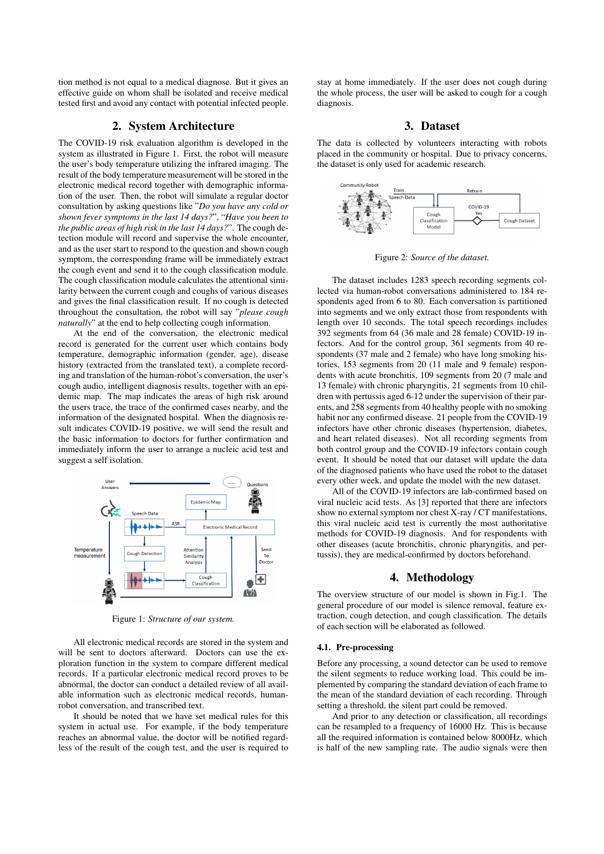tion method is not equal to a medical diagnose. But it gives an effective guide on whom shall be isolated and receive medical tested first and avoid any contact with potential infected people.

# 2. System Architecture

The COVID-19 risk evaluation algorithm is developed in the system as illustrated in Figure 1. First, the robot will measure the user's body temperature utilizing the infrared imaging. The result of the body temperature measurement will be stored in the electronic medical record together with demographic information of the user. Then, the robot will simulate a regular doctor consultation by asking questions like "*Do you have any cold or shown fever symptoms in the last 14 days?*", "*Have you been to the public areas of high risk in the last 14 days?*". The cough detection module will record and supervise the whole encounter, and as the user start to respond to the question and shown cough symptom, the corresponding frame will be immediately extract the cough event and send it to the cough classification module. The cough classification module calculates the attentional similarity between the current cough and coughs of various diseases and gives the final classification result. If no cough is detected throughout the consultation, the robot will say "*please cough naturally*" at the end to help collecting cough information.

At the end of the conversation, the electronic medical record is generated for the current user which contains body temperature, demographic information (gender, age), disease history (extracted from the translated text), a complete recording and translation of the human-robot's conversation, the user's cough audio, intelligent diagnosis results, together with an epidemic map. The map indicates the areas of high risk around the users trace, the trace of the confirmed cases nearby, and the information of the designated hospital. When the diagnosis result indicates COVID-19 positive, we will send the result and the basic information to doctors for further confirmation and immediately inform the user to arrange a nucleic acid test and suggest a self isolation.



Figure 1: *Structure of our system.*

All electronic medical records are stored in the system and will be sent to doctors afterward. Doctors can use the exploration function in the system to compare different medical records. If a particular electronic medical record proves to be abnormal, the doctor can conduct a detailed review of all available information such as electronic medical records, humanrobot conversation, and transcribed text.

It should be noted that we have set medical rules for this system in actual use. For example, if the body temperature reaches an abnormal value, the doctor will be notified regardless of the result of the cough test, and the user is required to stay at home immediately. If the user does not cough during the whole process, the user will be asked to cough for a cough diagnosis.

## 3. Dataset

The data is collected by volunteers interacting with robots placed in the community or hospital. Due to privacy concerns, the dataset is only used for academic research.



Figure 2: *Source of the dataset.*

The dataset includes 1283 speech recording segments collected via human-robot conversations administered to 184 respondents aged from 6 to 80. Each conversation is partitioned into segments and we only extract those from respondents with length over 10 seconds. The total speech recordings includes 392 segments from 64 (36 male and 28 female) COVID-19 infectors. And for the control group, 361 segments from 40 respondents (37 male and 2 female) who have long smoking histories, 153 segments from 20 (11 male and 9 female) respondents with acute bronchitis, 109 segments from 20 (7 male and 13 female) with chronic pharyngitis, 21 segments from 10 children with pertussis aged 6-12 under the supervision of their parents, and 258 segments from 40 healthy people with no smoking habit nor any confirmed disease. 21 people from the COVID-19 infectors have other chronic diseases (hypertension, diabetes, and heart related diseases). Not all recording segments from both control group and the COVID-19 infectors contain cough event. It should be noted that our dataset will update the data of the diagnosed patients who have used the robot to the dataset every other week, and update the model with the new dataset.

All of the COVID-19 infectors are lab-confirmed based on viral nucleic acid tests. As [3] reported that there are infectors show no external symptom nor chest X-ray / CT manifestations, this viral nucleic acid test is currently the most authoritative methods for COVID-19 diagnosis. And for respondents with other diseases (acute bronchitis, chronic pharyngitis, and pertussis), they are medical-confirmed by doctors beforehand.

## 4. Methodology

The overview structure of our model is shown in Fig.1. The general procedure of our model is silence removal, feature extraction, cough detection, and cough classification. The details of each section will be elaborated as followed.

#### 4.1. Pre-processing

Before any processing, a sound detector can be used to remove the silent segments to reduce working load. This could be implemented by comparing the standard deviation of each frame to the mean of the standard deviation of each recording. Through setting a threshold, the silent part could be removed.

And prior to any detection or classification, all recordings can be resampled to a frequency of 16000 Hz. This is because all the required information is contained below 8000Hz, which is half of the new sampling rate. The audio signals were then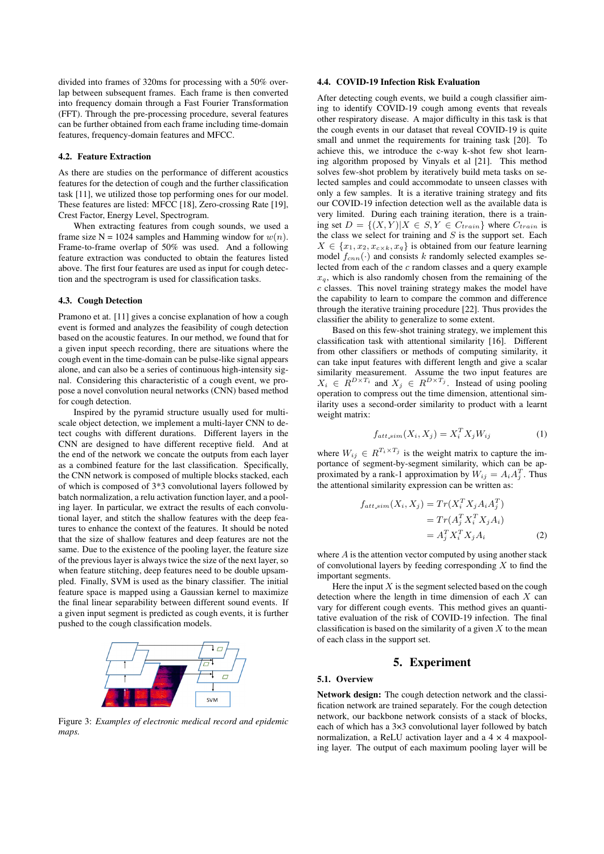divided into frames of 320ms for processing with a 50% overlap between subsequent frames. Each frame is then converted into frequency domain through a Fast Fourier Transformation (FFT). Through the pre-processing procedure, several features can be further obtained from each frame including time-domain features, frequency-domain features and MFCC.

#### 4.2. Feature Extraction

As there are studies on the performance of different acoustics features for the detection of cough and the further classification task [11], we utilized those top performing ones for our model. These features are listed: MFCC [18], Zero-crossing Rate [19], Crest Factor, Energy Level, Spectrogram.

When extracting features from cough sounds, we used a frame size N = 1024 samples and Hamming window for  $w(n)$ . Frame-to-frame overlap of 50% was used. And a following feature extraction was conducted to obtain the features listed above. The first four features are used as input for cough detection and the spectrogram is used for classification tasks.

#### 4.3. Cough Detection

Pramono et at. [11] gives a concise explanation of how a cough event is formed and analyzes the feasibility of cough detection based on the acoustic features. In our method, we found that for a given input speech recording, there are situations where the cough event in the time-domain can be pulse-like signal appears alone, and can also be a series of continuous high-intensity signal. Considering this characteristic of a cough event, we propose a novel convolution neural networks (CNN) based method for cough detection.

Inspired by the pyramid structure usually used for multiscale object detection, we implement a multi-layer CNN to detect coughs with different durations. Different layers in the CNN are designed to have different receptive field. And at the end of the network we concate the outputs from each layer as a combined feature for the last classification. Specifically, the CNN network is composed of multiple blocks stacked, each of which is composed of 3\*3 convolutional layers followed by batch normalization, a relu activation function layer, and a pooling layer. In particular, we extract the results of each convolutional layer, and stitch the shallow features with the deep features to enhance the context of the features. It should be noted that the size of shallow features and deep features are not the same. Due to the existence of the pooling layer, the feature size of the previous layer is always twice the size of the next layer, so when feature stitching, deep features need to be double upsampled. Finally, SVM is used as the binary classifier. The initial feature space is mapped using a Gaussian kernel to maximize the final linear separability between different sound events. If a given input segment is predicted as cough events, it is further pushed to the cough classification models.



Figure 3: *Examples of electronic medical record and epidemic maps.*

### 4.4. COVID-19 Infection Risk Evaluation

After detecting cough events, we build a cough classifier aiming to identify COVID-19 cough among events that reveals other respiratory disease. A major difficulty in this task is that the cough events in our dataset that reveal COVID-19 is quite small and unmet the requirements for training task [20]. To achieve this, we introduce the c-way k-shot few shot learning algorithm proposed by Vinyals et al [21]. This method solves few-shot problem by iteratively build meta tasks on selected samples and could accommodate to unseen classes with only a few samples. It is a iterative training strategy and fits our COVID-19 infection detection well as the available data is very limited. During each training iteration, there is a training set  $D = \{(X, Y) | X \in S, Y \in C_{train}\}$  where  $C_{train}$  is the class we select for training and  $S$  is the support set. Each  $X \in \{x_1, x_2, x_{c \times k}, x_q\}$  is obtained from our feature learning model  $f_{cnn}(\cdot)$  and consists k randomly selected examples selected from each of the c random classes and a query example  $x_q$ , which is also randomly chosen from the remaining of the c classes. This novel training strategy makes the model have the capability to learn to compare the common and difference through the iterative training procedure [22]. Thus provides the classifier the ability to generalize to some extent.

Based on this few-shot training strategy, we implement this classification task with attentional similarity [16]. Different from other classifiers or methods of computing similarity, it can take input features with different length and give a scalar similarity measurement. Assume the two input features are  $X_i \in R^{D \times T_i}$  and  $X_j \in R^{D \times T_j}$ . Instead of using pooling operation to compress out the time dimension, attentional similarity uses a second-order similarity to product with a learnt weight matrix:

$$
f_{att\text{-}sim}(X_i, X_j) = X_i^T X_j W_{ij} \tag{1}
$$

where  $W_{ij} \in R^{T_i \times T_j}$  is the weight matrix to capture the importance of segment-by-segment similarity, which can be approximated by a rank-1 approximation by  $W_{ij} = A_i A_j^T$ . Thus the attentional similarity expression can be written as:

$$
f_{att,sim}(X_i, X_j) = Tr(X_i^T X_j A_i A_j^T)
$$
  
= 
$$
Tr(A_j^T X_i^T X_j A_i)
$$
  
= 
$$
A_j^T X_i^T X_j A_i
$$
 (2)

where  $A$  is the attention vector computed by using another stack of convolutional layers by feeding corresponding  $X$  to find the important segments.

Here the input  $X$  is the segment selected based on the cough detection where the length in time dimension of each  $X$  can vary for different cough events. This method gives an quantitative evaluation of the risk of COVID-19 infection. The final classification is based on the similarity of a given  $X$  to the mean of each class in the support set.

# 5. Experiment

#### 5.1. Overview

Network design: The cough detection network and the classification network are trained separately. For the cough detection network, our backbone network consists of a stack of blocks, each of which has a 3×3 convolutional layer followed by batch normalization, a ReLU activation layer and a  $4 \times 4$  maxpooling layer. The output of each maximum pooling layer will be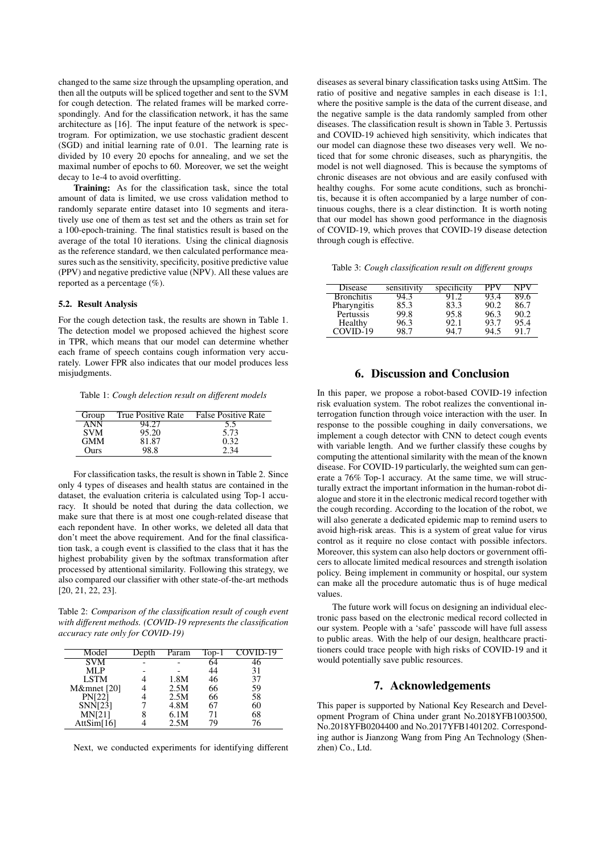changed to the same size through the upsampling operation, and then all the outputs will be spliced together and sent to the SVM for cough detection. The related frames will be marked correspondingly. And for the classification network, it has the same architecture as [16]. The input feature of the network is spectrogram. For optimization, we use stochastic gradient descent (SGD) and initial learning rate of 0.01. The learning rate is divided by 10 every 20 epochs for annealing, and we set the maximal number of epochs to 60. Moreover, we set the weight decay to 1e-4 to avoid overfitting.

Training: As for the classification task, since the total amount of data is limited, we use cross validation method to randomly separate entire dataset into 10 segments and iteratively use one of them as test set and the others as train set for a 100-epoch-training. The final statistics result is based on the average of the total 10 iterations. Using the clinical diagnosis as the reference standard, we then calculated performance measures such as the sensitivity, specificity, positive predictive value (PPV) and negative predictive value (NPV). All these values are reported as a percentage (%).

## 5.2. Result Analysis

For the cough detection task, the results are shown in Table 1. The detection model we proposed achieved the highest score in TPR, which means that our model can determine whether each frame of speech contains cough information very accurately. Lower FPR also indicates that our model produces less misjudgments.

Table 1: *Cough delection result on different models*

| Group      | True Positive Rate | <b>False Positive Rate</b> |
|------------|--------------------|----------------------------|
| A N N      |                    |                            |
| <b>SVM</b> | 95.20              | 5.73                       |
| <b>GMM</b> | 81.87              | 0.32                       |
| Ours       | 98.8               | 2.34                       |

For classification tasks, the result is shown in Table 2. Since only 4 types of diseases and health status are contained in the dataset, the evaluation criteria is calculated using Top-1 accuracy. It should be noted that during the data collection, we make sure that there is at most one cough-related disease that each repondent have. In other works, we deleted all data that don't meet the above requirement. And for the final classification task, a cough event is classified to the class that it has the highest probability given by the softmax transformation after processed by attentional similarity. Following this strategy, we also compared our classifier with other state-of-the-art methods [20, 21, 22, 23].

Table 2: *Comparison of the classification result of cough event with different methods. (COVID-19 represents the classification accuracy rate only for COVID-19)*

| Model         | )epth | Param | Top- | COVID-19 |
|---------------|-------|-------|------|----------|
| SVM           |       |       | 64   | ŀĥ       |
| MLP           |       |       | 44   | 31       |
| <b>LSTM</b>   |       | 1.8M  | 46   | 37       |
| M&mnet [20]   |       | 2.5M  | 66   | 59       |
| <b>PN[22]</b> |       | 2.5M  | 66   | 58       |
| SNN[23]       |       | 4.8M  | 67   | 60       |
| <b>MN[21]</b> |       | 6.1M  | 71   | 68       |
| Att $Sim[16]$ |       | 2.5M  | 79   | 76       |

Next, we conducted experiments for identifying different

diseases as several binary classification tasks using AttSim. The ratio of positive and negative samples in each disease is 1:1, where the positive sample is the data of the current disease, and the negative sample is the data randomly sampled from other diseases. The classification result is shown in Table 3. Pertussis and COVID-19 achieved high sensitivity, which indicates that our model can diagnose these two diseases very well. We noticed that for some chronic diseases, such as pharyngitis, the model is not well diagnosed. This is because the symptoms of chronic diseases are not obvious and are easily confused with healthy coughs. For some acute conditions, such as bronchitis, because it is often accompanied by a large number of continuous coughs, there is a clear distinction. It is worth noting that our model has shown good performance in the diagnosis of COVID-19, which proves that COVID-19 disease detection through cough is effective.

Table 3: *Cough classification result on different groups*

| Disease           | sensitivity | specificity |      | JPV  |
|-------------------|-------------|-------------|------|------|
| <b>Bronchitis</b> |             |             | 13.4 | 89.6 |
| Pharyngitis       | 85.3        | 83.3        | 90.2 | 86.7 |
| Pertussis         | 99.8        | 95.8        | 96.3 | 90.2 |
| Healthy           | 96.3        | 92.1        | 93.7 | 95.4 |
| COVID-19          | ־ פנ        |             |      | 917  |

# 6. Discussion and Conclusion

In this paper, we propose a robot-based COVID-19 infection risk evaluation system. The robot realizes the conventional interrogation function through voice interaction with the user. In response to the possible coughing in daily conversations, we implement a cough detector with CNN to detect cough events with variable length. And we further classify these coughs by computing the attentional similarity with the mean of the known disease. For COVID-19 particularly, the weighted sum can generate a 76% Top-1 accuracy. At the same time, we will structurally extract the important information in the human-robot dialogue and store it in the electronic medical record together with the cough recording. According to the location of the robot, we will also generate a dedicated epidemic map to remind users to avoid high-risk areas. This is a system of great value for virus control as it require no close contact with possible infectors. Moreover, this system can also help doctors or government officers to allocate limited medical resources and strength isolation policy. Being implement in community or hospital, our system can make all the procedure automatic thus is of huge medical values.

The future work will focus on designing an individual electronic pass based on the electronic medical record collected in our system. People with a 'safe' passcode will have full assess to public areas. With the help of our design, healthcare practitioners could trace people with high risks of COVID-19 and it would potentially save public resources.

# 7. Acknowledgements

This paper is supported by National Key Research and Development Program of China under grant No.2018YFB1003500, No.2018YFB0204400 and No.2017YFB1401202. Corresponding author is Jianzong Wang from Ping An Technology (Shenzhen) Co., Ltd.